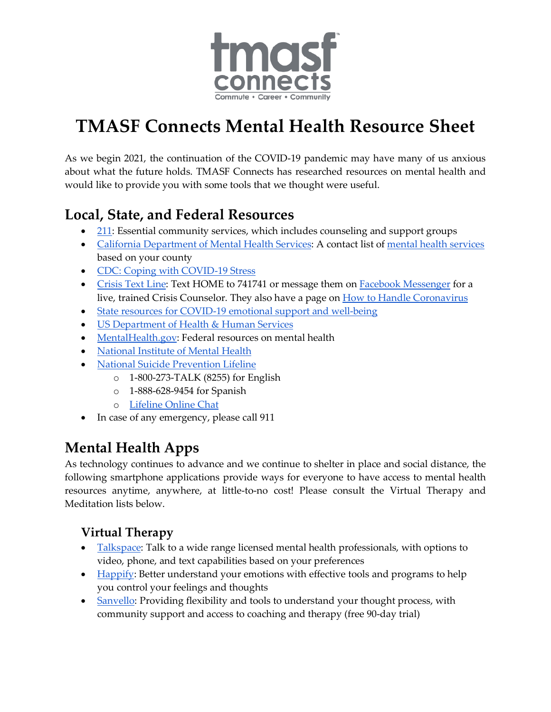

# **TMASF Connects Mental Health Resource Sheet**

As we begin 2021, the continuation of the COVID-19 pandemic may have many of us anxious about what the future holds. TMASF Connects has researched resources on mental health and would like to provide you with some tools that we thought were useful.

### **Local, State, and Federal Resources**

- [211:](https://www.211bayarea.org/sanfrancisco/mental-health/) Essential community services, which includes counseling and support groups
- [California Department of Mental Health Services:](https://www.dhcs.ca.gov/individuals/Pages/MHPContactList.aspx) A contact list of [mental health services](https://www.sfdph.org/dph/comupg/oservices/mentalHlth/CBHS/) based on your county
- [CDC: Coping with COVID-19 Stress](https://www.cdc.gov/coronavirus/2019-ncov/daily-life-coping/managing-stress-anxiety.html)
- [Crisis Text Line:](https://www.crisistextline.org/) Text HOME to 741741 or message them on [Facebook Messenger](https://www.messenger.com/login.php?next=https%3A%2F%2Fwww.messenger.com%2Ft%2F204427966369963%2F%3Fmessaging_source%3Dsource%253Apages%253Amessage_shortlink) for a live, trained Crisis Counselor. They also have a page on [How to Handle Coronavirus](https://www.crisistextline.org/topics/get-help-coronavirus/#dealing-with-coronavirus-1)
- [State resources for COVID-19 emotional support and well-being](https://covid19.ca.gov/resources-for-emotional-support-and-well-being/)
- **[US Department of Health & Human Services](https://www.hhs.gov/)**
- [MentalHealth.gov:](https://www.mentalhealth.gov/) Federal resources on mental health
- [National Institute of Mental Health](https://www.nimh.nih.gov/index.shtml)
- [National Suicide Prevention Lifeline](https://suicidepreventionlifeline.org/)
	- o 1-800-273-TALK (8255) for English
	- o 1-888-628-9454 for Spanish
	- o [Lifeline Online Chat](https://suicidepreventionlifeline.org/chat/)
- In case of any emergency, please call 911

## **Mental Health Apps**

As technology continues to advance and we continue to shelter in place and social distance, the following smartphone applications provide ways for everyone to have access to mental health resources anytime, anywhere, at little-to-no cost! Please consult the Virtual Therapy and Meditation lists below.

#### **Virtual Therapy**

- **[Talkspace:](https://www.talkspace.com/)** Talk to a wide range licensed mental health professionals, with options to video, phone, and text capabilities based on your preferences
- [Happify:](https://www.happify.com/) Better understand your emotions with effective tools and programs to help you control your feelings and thoughts
- [Sanvello:](https://www.sanvello.com/) Providing flexibility and tools to understand your thought process, with community support and access to coaching and therapy (free 90-day trial)